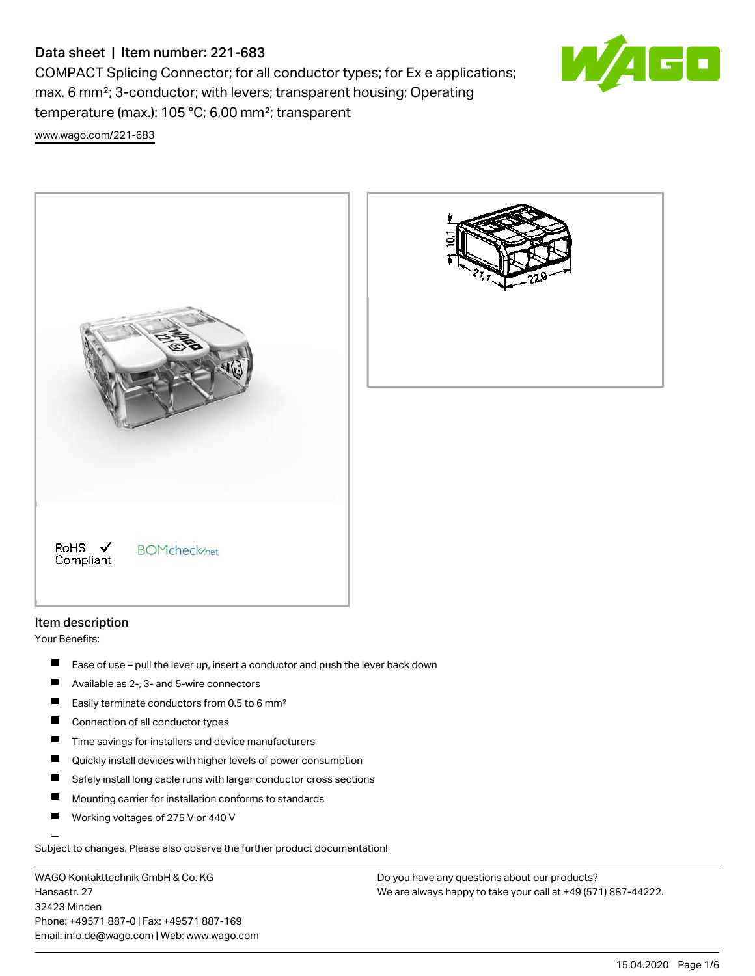## Data sheet | Item number: 221-683

COMPACT Splicing Connector; for all conductor types; for Ex e applications; max. 6 mm²; 3-conductor; with levers; transparent housing; Operating temperature (max.): 105 °C; 6,00 mm²; transparent [www.wago.com/221-683](http://www.wago.com/221-683)







## Item description

Your Benefits:

- $\blacksquare$ Ease of use – pull the lever up, insert a conductor and push the lever back down
- $\blacksquare$ Available as 2-, 3- and 5-wire connectors
- П Easily terminate conductors from 0.5 to 6 mm²
- $\blacksquare$ Connection of all conductor types
- $\blacksquare$ Time savings for installers and device manufacturers
- $\blacksquare$ Quickly install devices with higher levels of power consumption
- П Safely install long cable runs with larger conductor cross sections
- П Mounting carrier for installation conforms to standards
- П Working voltages of 275 V or 440 V

Subject to changes. Please also observe the further product documentation!

WAGO Kontakttechnik GmbH & Co. KG Hansastr. 27 32423 Minden Phone: +49571 887-0 | Fax: +49571 887-169 Email: info.de@wago.com | Web: www.wago.com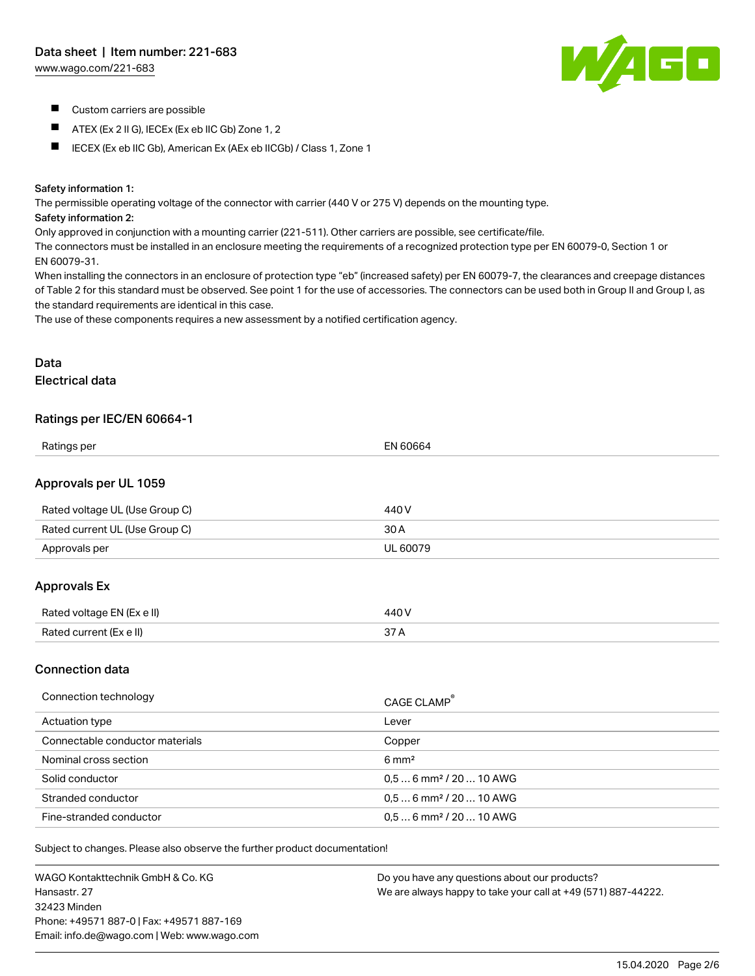[www.wago.com/221-683](http://www.wago.com/221-683)



- **Custom carriers are possible**
- $\blacksquare$ ATEX (Ex 2 II G), IECEx (Ex eb IIC Gb) Zone 1, 2
- IECEX (Ex eb IIC Gb), American Ex (AEx eb IICGb) / Class 1, Zone 1

#### Safety information 1:

The permissible operating voltage of the connector with carrier (440 V or 275 V) depends on the mounting type.

#### Safety information 2:

Only approved in conjunction with a mounting carrier (221-511). Other carriers are possible, see certificate/file.

The connectors must be installed in an enclosure meeting the requirements of a recognized protection type per EN 60079-0, Section 1 or EN 60079-31.

When installing the connectors in an enclosure of protection type "eb" (increased safety) per EN 60079-7, the clearances and creepage distances of Table 2 for this standard must be observed. See point 1 for the use of accessories. The connectors can be used both in Group II and Group I, as the standard requirements are identical in this case.

The use of these components requires a new assessment by a notified certification agency.

## Data Electrical data

### Ratings per IEC/EN 60664-1

| Ratings per                    | EN 60664 |
|--------------------------------|----------|
| Approvals per UL 1059          |          |
| Rated voltage UL (Use Group C) | 440 V    |
| Rated current UL (Use Group C) | 30 A     |
| Approvals per                  | UL 60079 |
| <b>Approvals Ex</b>            |          |
| Rated voltage EN (Ex e II)     | 440 V    |
| Rated current (Ex e II)        | 37 A     |

#### Connection data

| Connection technology           | CAGE CLAMP <sup>®</sup>             |
|---------------------------------|-------------------------------------|
| Actuation type                  | Lever                               |
| Connectable conductor materials | Copper                              |
| Nominal cross section           | $6 \text{ mm}^2$                    |
| Solid conductor                 | $0.56$ mm <sup>2</sup> / 20  10 AWG |
| Stranded conductor              | $0.56$ mm <sup>2</sup> / 20  10 AWG |
| Fine-stranded conductor         | $0.56$ mm <sup>2</sup> / 20  10 AWG |

Subject to changes. Please also observe the further product documentation!

WAGO Kontakttechnik GmbH & Co. KG Hansastr. 27 32423 Minden Phone: +49571 887-0 | Fax: +49571 887-169 Email: info.de@wago.com | Web: www.wago.com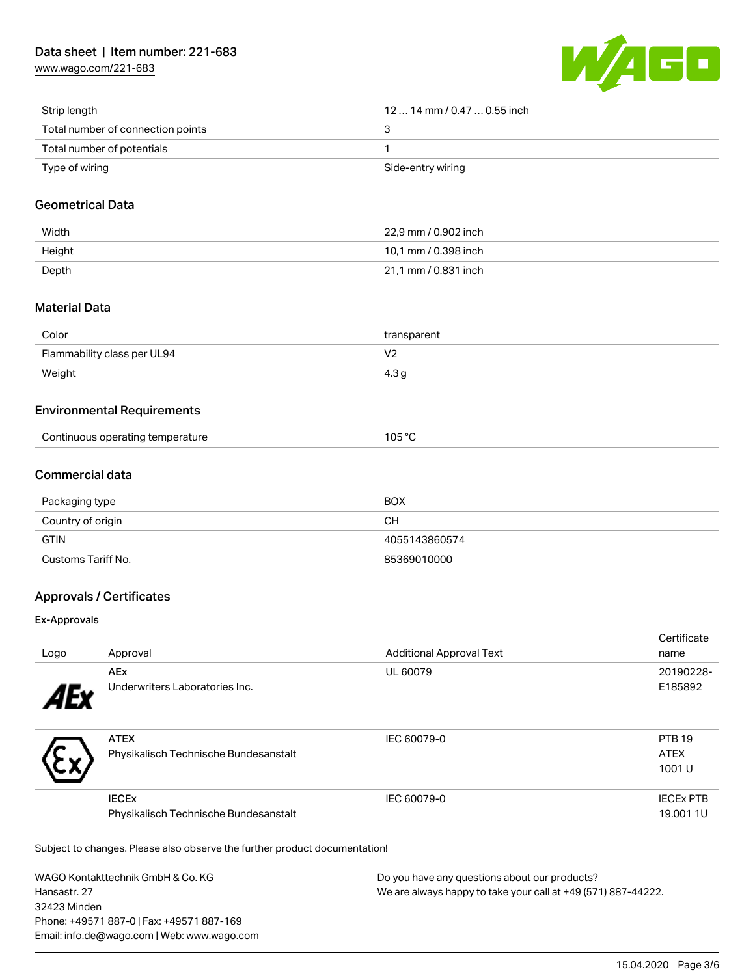[www.wago.com/221-683](http://www.wago.com/221-683)



| Strip length                      | 12  14 mm / 0.47  0.55 inch |
|-----------------------------------|-----------------------------|
| Total number of connection points |                             |
| Total number of potentials        |                             |
| Type of wiring                    | Side-entry wiring           |

### Geometrical Data

| Width  | 22.9 mm / 0.902 inch |
|--------|----------------------|
| Height | 10.1 mm / 0.398 inch |
| Depth  | 21,1 mm / 0.831 inch |

## Material Data

| Color                       | transparent    |
|-----------------------------|----------------|
| Flammability class per UL94 | $\cdot$<br>. . |
| Weight                      | با 4.3         |

### Environmental Requirements

|  | Continuous operating temperature | 105 °C |  |
|--|----------------------------------|--------|--|
|--|----------------------------------|--------|--|

## Commercial data

| Packaging type     | <b>BOX</b>    |
|--------------------|---------------|
| Country of origin  | CН            |
| <b>GTIN</b>        | 4055143860574 |
| Customs Tariff No. | 85369010000   |

## Approvals / Certificates

#### Ex-Approvals

|      |                                       |                                 | Certificate      |
|------|---------------------------------------|---------------------------------|------------------|
| Logo | Approval                              | <b>Additional Approval Text</b> | name             |
|      | <b>AEx</b>                            | UL 60079                        | 20190228-        |
| 1Ex  | Underwriters Laboratories Inc.        |                                 | E185892          |
|      | <b>ATEX</b>                           | IEC 60079-0                     | <b>PTB 19</b>    |
|      | Physikalisch Technische Bundesanstalt |                                 | <b>ATEX</b>      |
|      |                                       |                                 | 1001U            |
|      | <b>IECEx</b>                          | IEC 60079-0                     | <b>IECEX PTB</b> |
|      | Physikalisch Technische Bundesanstalt |                                 | 19,001 1U        |

Subject to changes. Please also observe the further product documentation!

WAGO Kontakttechnik GmbH & Co. KG Hansastr. 27 32423 Minden Phone: +49571 887-0 | Fax: +49571 887-169 Email: info.de@wago.com | Web: www.wago.com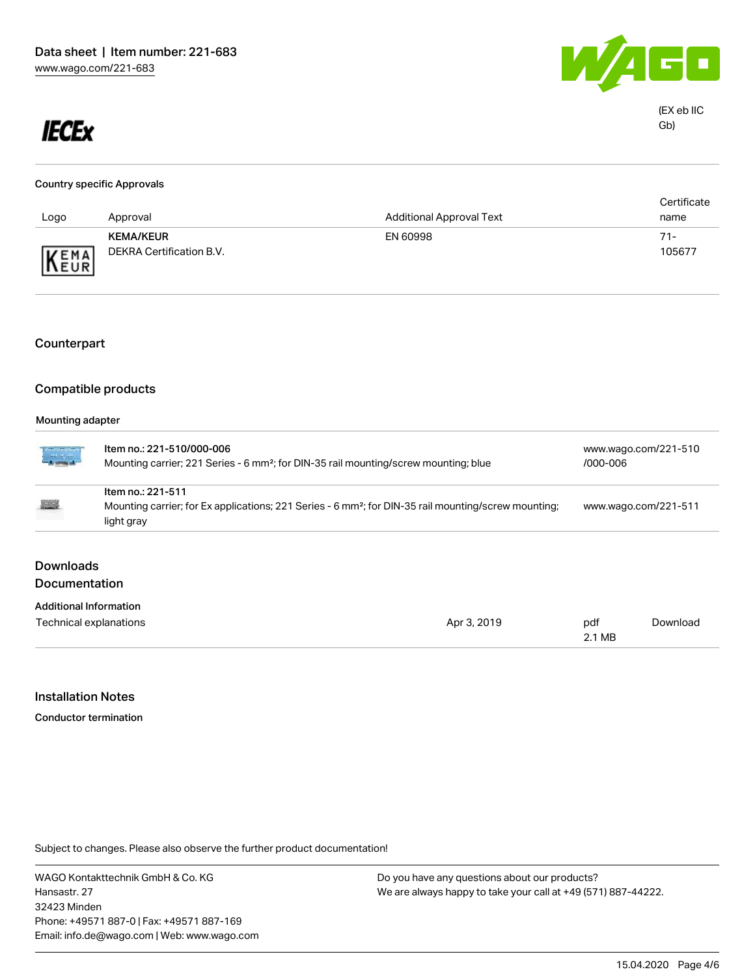

2.1 MB

# **IECEx**

| <b>Country specific Approvals</b> |                          |                                 |             |  |
|-----------------------------------|--------------------------|---------------------------------|-------------|--|
|                                   |                          |                                 | Certificate |  |
| Logo                              | Approval                 | <b>Additional Approval Text</b> | name        |  |
|                                   | <b>KEMA/KEUR</b>         | EN 60998                        | 71-         |  |
| KEMA                              | DEKRA Certification B.V. |                                 | 105677      |  |

## Counterpart

### Compatible products

#### Mounting adapter

| ina ang pagkala<br>Tanggunian | Item no.: 221-510/000-006<br>Mounting carrier; 221 Series - 6 mm <sup>2</sup> ; for DIN-35 rail mounting/screw mounting; blue |             |                      | www.wago.com/221-510<br>/000-006 |  |  |
|-------------------------------|-------------------------------------------------------------------------------------------------------------------------------|-------------|----------------------|----------------------------------|--|--|
|                               | Item no.: 221-511                                                                                                             |             |                      |                                  |  |  |
| <b>REAL PROPERTY</b>          | Mounting carrier; for Ex applications; 221 Series - 6 mm <sup>2</sup> ; for DIN-35 rail mounting/screw mounting;              |             | www.wago.com/221-511 |                                  |  |  |
|                               | light gray                                                                                                                    |             |                      |                                  |  |  |
| <b>Downloads</b>              |                                                                                                                               |             |                      |                                  |  |  |
| <b>Documentation</b>          |                                                                                                                               |             |                      |                                  |  |  |
|                               |                                                                                                                               |             |                      |                                  |  |  |
| <b>Additional Information</b> |                                                                                                                               |             |                      |                                  |  |  |
| Technical explanations        |                                                                                                                               | Apr 3, 2019 | pdf                  | Download                         |  |  |

#### Installation Notes

Conductor termination

Subject to changes. Please also observe the further product documentation!

WAGO Kontakttechnik GmbH & Co. KG Hansastr. 27 32423 Minden Phone: +49571 887-0 | Fax: +49571 887-169 Email: info.de@wago.com | Web: www.wago.com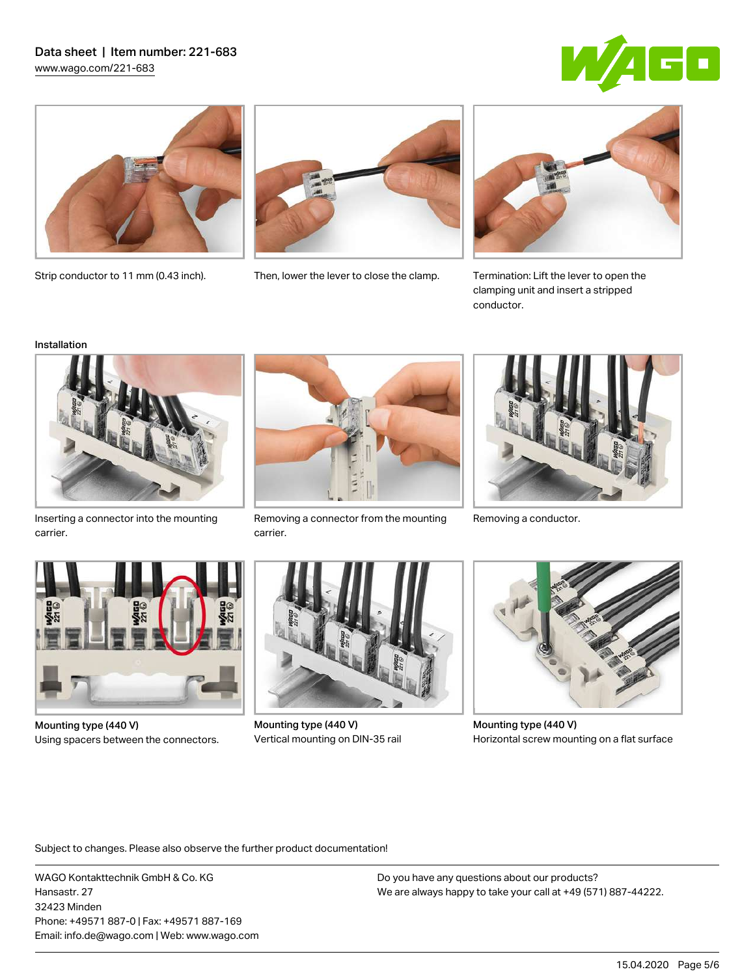### Data sheet | Item number: 221-683 [www.wago.com/221-683](http://www.wago.com/221-683)







Strip conductor to 11 mm (0.43 inch). Then, lower the lever to close the clamp.



Termination: Lift the lever to open the clamping unit and insert a stripped conductor.

#### Installation



Inserting a connector into the mounting carrier.



Removing a connector from the mounting Removing a conductor. carrier.





Mounting type (440 V) Using spacers between the connectors.



Mounting type (440 V) Vertical mounting on DIN-35 rail



Mounting type (440 V) Horizontal screw mounting on a flat surface

Subject to changes. Please also observe the further product documentation!

WAGO Kontakttechnik GmbH & Co. KG Hansastr. 27 32423 Minden Phone: +49571 887-0 | Fax: +49571 887-169 Email: info.de@wago.com | Web: www.wago.com